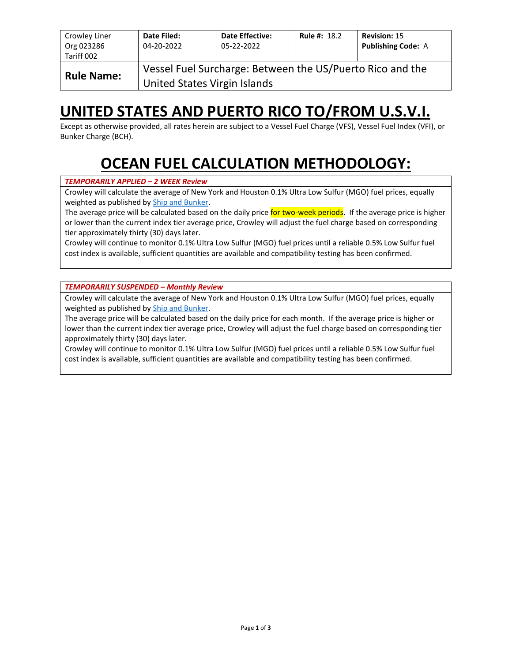| Crowley Liner<br>Org 023286<br>Tariff 002 | Date Filed:<br>04-20-2022    | <b>Date Effective:</b><br>05-22-2022                      | <b>Rule #: 18.2</b> | <b>Revision: 15</b><br><b>Publishing Code: A</b> |
|-------------------------------------------|------------------------------|-----------------------------------------------------------|---------------------|--------------------------------------------------|
| <b>Rule Name:</b>                         | United States Virgin Islands | Vessel Fuel Surcharge: Between the US/Puerto Rico and the |                     |                                                  |

## **UNITED STATES AND PUERTO RICO TO/FROM U.S.V.I.**

Except as otherwise provided, all rates herein are subject to a Vessel Fuel Charge (VFS), Vessel Fuel Index (VFI), or Bunker Charge (BCH).

# **OCEAN FUEL CALCULATION METHODOLOGY:**

#### *TEMPORARILY APPLIED – 2 WEEK Review*

Crowley will calculate the average of New York and Houston 0.1% Ultra Low Sulfur (MGO) fuel prices, equally weighted as published by [Ship and Bunker.](https://shipandbunker.com/)

The average price will be calculated based on the daily price for two-week periods. If the average price is higher or lower than the current index tier average price, Crowley will adjust the fuel charge based on corresponding tier approximately thirty (30) days later.

Crowley will continue to monitor 0.1% Ultra Low Sulfur (MGO) fuel prices until a reliable 0.5% Low Sulfur fuel cost index is available, sufficient quantities are available and compatibility testing has been confirmed.

*TEMPORARILY SUSPENDED – Monthly Review*

Crowley will calculate the average of New York and Houston 0.1% Ultra Low Sulfur (MGO) fuel prices, equally weighted as published by [Ship and Bunker.](https://shipandbunker.com/)

The average price will be calculated based on the daily price for each month. If the average price is higher or lower than the current index tier average price, Crowley will adjust the fuel charge based on corresponding tier approximately thirty (30) days later.

Crowley will continue to monitor 0.1% Ultra Low Sulfur (MGO) fuel prices until a reliable 0.5% Low Sulfur fuel cost index is available, sufficient quantities are available and compatibility testing has been confirmed.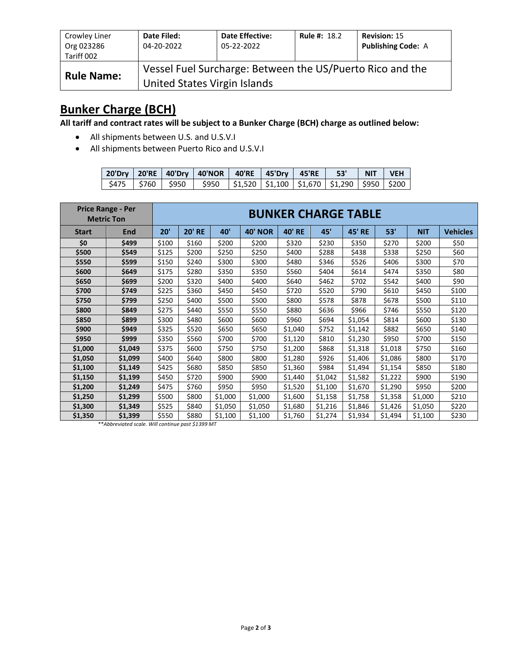| Crowley Liner<br>Org 023286 | Date Filed:<br>04-20-2022    | <b>Date Effective:</b><br>05-22-2022                      | <b>Rule #: 18.2</b> | <b>Revision: 15</b><br><b>Publishing Code: A</b> |
|-----------------------------|------------------------------|-----------------------------------------------------------|---------------------|--------------------------------------------------|
| Tariff 002                  |                              |                                                           |                     |                                                  |
| <b>Rule Name:</b>           | United States Virgin Islands | Vessel Fuel Surcharge: Between the US/Puerto Rico and the |                     |                                                  |

### **Bunker Charge (BCH)**

**All tariff and contract rates will be subject to a Bunker Charge (BCH) charge as outlined below:**

- All shipments between U.S. and U.S.V.I
- All shipments between Puerto Rico and U.S.V.I

|  | 20'Dry   20'RE   40'Dry   40'NOR   40'RE   45'Dry   45'RE   53'                              |  |  | NIT VEH |  |
|--|----------------------------------------------------------------------------------------------|--|--|---------|--|
|  | \$475   \$760   \$950   \$950  \$1,520  \$1,100  \$1,670  \$1,290  \$950  \$200 <sub> </sub> |  |  |         |  |

|              | <b>Price Range - Per</b><br><b>Metric Ton</b> | <b>BUNKER CHARGE TABLE</b> |               |         |                |               |         |               |         |            |                 |  |
|--------------|-----------------------------------------------|----------------------------|---------------|---------|----------------|---------------|---------|---------------|---------|------------|-----------------|--|
| <b>Start</b> | End                                           | 20'                        | <b>20' RE</b> | 40'     | <b>40' NOR</b> | <b>40' RE</b> | 45'     | <b>45' RE</b> | 53'     | <b>NIT</b> | <b>Vehicles</b> |  |
| \$0          | \$499                                         | \$100                      | \$160         | \$200   | \$200          | \$320         | \$230   | \$350         | \$270   | \$200      | \$50            |  |
| \$500        | \$549                                         | \$125                      | \$200         | \$250   | \$250          | \$400         | \$288   | \$438         | \$338   | \$250      | \$60            |  |
| \$550        | \$599                                         | \$150                      | \$240         | \$300   | \$300          | \$480         | \$346   | \$526         | \$406   | \$300      | \$70            |  |
| \$600        | \$649                                         | \$175                      | \$280         | \$350   | \$350          | \$560         | \$404   | \$614         | \$474   | \$350      | \$80            |  |
| \$650        | \$699                                         | \$200                      | \$320         | \$400   | \$400          | \$640         | \$462   | \$702         | \$542   | \$400      | \$90            |  |
| \$700        | \$749                                         | \$225                      | \$360         | \$450   | \$450          | \$720         | \$520   | \$790         | \$610   | \$450      | \$100           |  |
| \$750        | \$799                                         | \$250                      | \$400         | \$500   | \$500          | \$800         | \$578   | \$878         | \$678   | \$500      | \$110           |  |
| \$800        | \$849                                         | \$275                      | \$440         | \$550   | \$550          | \$880         | \$636   | \$966         | \$746   | \$550      | \$120           |  |
| \$850        | \$899                                         | \$300                      | \$480         | \$600   | \$600          | \$960         | \$694   | \$1,054       | \$814   | \$600      | \$130           |  |
| \$900        | \$949                                         | \$325                      | \$520         | \$650   | \$650          | \$1,040       | \$752   | \$1,142       | \$882   | \$650      | \$140           |  |
| \$950        | \$999                                         | \$350                      | \$560         | \$700   | \$700          | \$1,120       | \$810   | \$1,230       | \$950   | \$700      | \$150           |  |
| \$1,000      | \$1,049                                       | \$375                      | \$600         | \$750   | \$750          | \$1,200       | \$868   | \$1,318       | \$1,018 | \$750      | \$160           |  |
| \$1,050      | \$1,099                                       | \$400                      | \$640         | \$800   | \$800          | \$1,280       | \$926   | \$1,406       | \$1,086 | \$800      | \$170           |  |
| \$1,100      | \$1,149                                       | \$425                      | \$680         | \$850   | \$850          | \$1,360       | \$984   | \$1,494       | \$1,154 | \$850      | \$180           |  |
| \$1,150      | \$1,199                                       | \$450                      | \$720         | \$900   | \$900          | \$1,440       | \$1,042 | \$1,582       | \$1,222 | \$900      | \$190           |  |
| \$1,200      | \$1,249                                       | \$475                      | \$760         | \$950   | \$950          | \$1,520       | \$1,100 | \$1,670       | \$1,290 | \$950      | \$200           |  |
| \$1,250      | \$1,299                                       | \$500                      | \$800         | \$1,000 | \$1,000        | \$1,600       | \$1,158 | \$1,758       | \$1,358 | \$1,000    | \$210           |  |
| \$1,300      | \$1,349                                       | \$525                      | \$840         | \$1,050 | \$1,050        | \$1,680       | \$1,216 | \$1,846       | \$1,426 | \$1,050    | \$220           |  |
| \$1,350      | \$1,399                                       | \$550                      | \$880         | \$1,100 | \$1,100        | \$1,760       | \$1,274 | \$1,934       | \$1,494 | \$1,100    | \$230           |  |

*\*\*Abbreviated scale. Will continue past \$1399 MT*